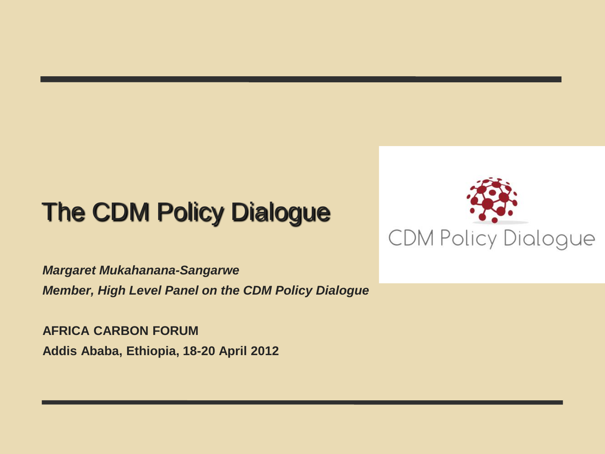# The CDM Policy Dialogue



*Margaret Mukahanana-Sangarwe Member, High Level Panel on the CDM Policy Dialogue*

**AFRICA CARBON FORUM Addis Ababa, Ethiopia, 18-20 April 2012**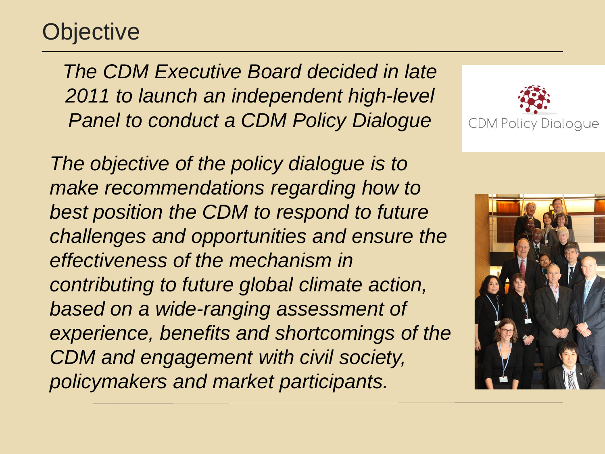## **Objective**

*The CDM Executive Board decided in late 2011 to launch an independent high-level Panel to conduct a CDM Policy Dialogue* 

*The objective of the policy dialogue is to make recommendations regarding how to best position the CDM to respond to future challenges and opportunities and ensure the effectiveness of the mechanism in contributing to future global climate action, based on a wide-ranging assessment of experience, benefits and shortcomings of the CDM and engagement with civil society, policymakers and market participants.*



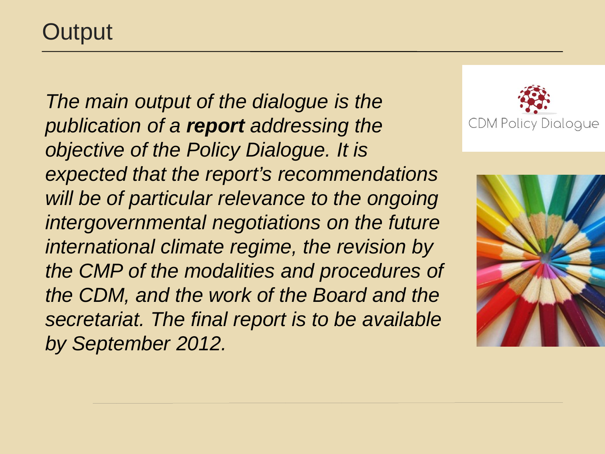*The main output of the dialogue is the publication of a report addressing the objective of the Policy Dialogue. It is expected that the report's recommendations will be of particular relevance to the ongoing intergovernmental negotiations on the future international climate regime, the revision by the CMP of the modalities and procedures of the CDM, and the work of the Board and the secretariat. The final report is to be available by September 2012.* 



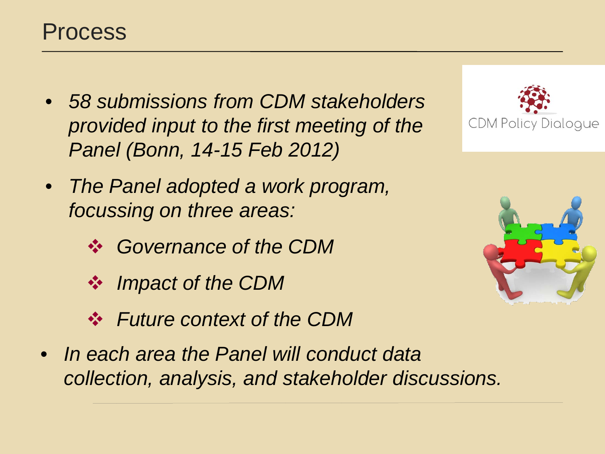- *58 submissions from CDM stakeholders provided input to the first meeting of the Panel (Bonn, 14-15 Feb 2012)*
- *The Panel adopted a work program, focussing on three areas:*
	- *Governance of the CDM*
	- *Impact of the CDM*
	- *Future context of the CDM*
- *In each area the Panel will conduct data collection, analysis, and stakeholder discussions.*



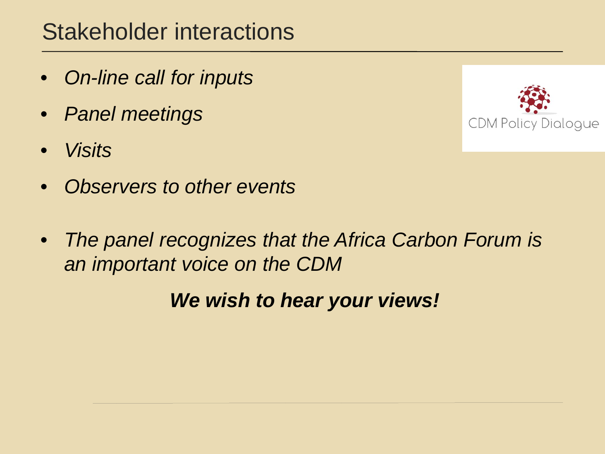#### Stakeholder interactions

- *On-line call for inputs*
- *Panel meetings*
- *Visits*
- *Observers to other events*
- *The panel recognizes that the Africa Carbon Forum is an important voice on the CDM*

*We wish to hear your views!*

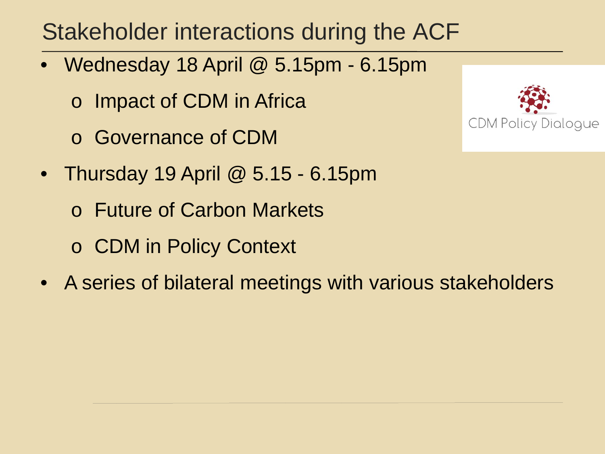## Stakeholder interactions during the ACF

- Wednesday 18 April @ 5.15pm 6.15pm
	- o Impact of CDM in Africa
	- o Governance of CDM
- Thursday 19 April  $@$  5.15 6.15pm
	- o Future of Carbon Markets
	- o CDM in Policy Context
- A series of bilateral meetings with various stakeholders